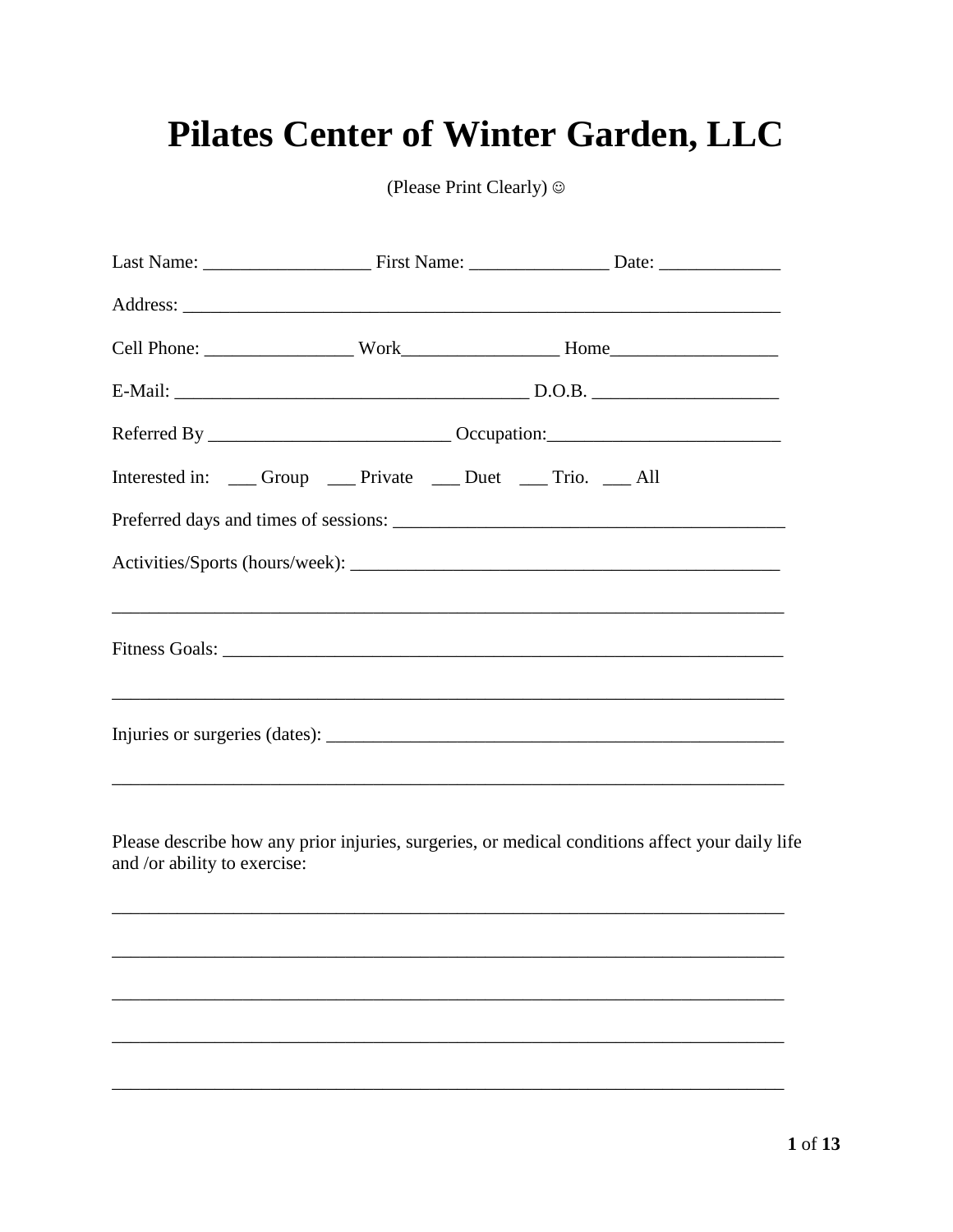# Pilates Center of Winter Garden, LLC

(Please Print Clearly)  $\odot$ 

| Interested in: _____ Group ______ Private _____ Duet _____ Trio. _____ All |  |                                                                                                                        |  |
|----------------------------------------------------------------------------|--|------------------------------------------------------------------------------------------------------------------------|--|
|                                                                            |  |                                                                                                                        |  |
|                                                                            |  |                                                                                                                        |  |
|                                                                            |  | ,我们也不会有什么。""我们的人,我们也不会有什么?""我们的人,我们也不会有什么?""我们的人,我们也不会有什么?""我们的人,我们也不会有什么?""我们的人                                       |  |
|                                                                            |  |                                                                                                                        |  |
|                                                                            |  |                                                                                                                        |  |
|                                                                            |  |                                                                                                                        |  |
|                                                                            |  | <u> 1989 - Andrea San Andrea San Andrea San Andrea San Andrea San Andrea San Andrea San Andrea San Andrea San Andr</u> |  |
| and /or ability to exercise:                                               |  | Please describe how any prior injuries, surgeries, or medical conditions affect your daily life                        |  |
|                                                                            |  |                                                                                                                        |  |
|                                                                            |  |                                                                                                                        |  |
|                                                                            |  |                                                                                                                        |  |
|                                                                            |  |                                                                                                                        |  |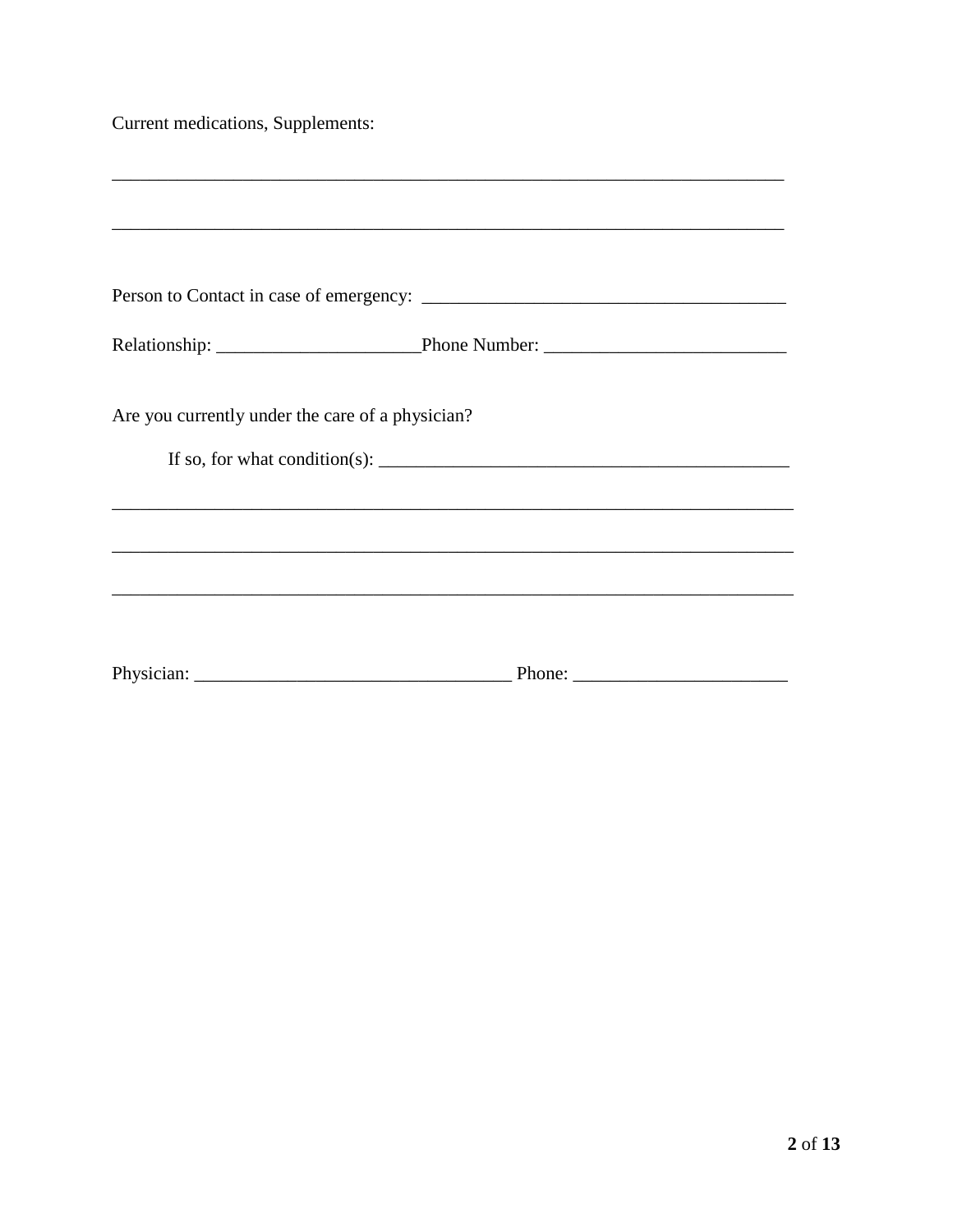Current medications, Supplements:

| Are you currently under the care of a physician? |                                                                                                                                                                                                                                                                                               |
|--------------------------------------------------|-----------------------------------------------------------------------------------------------------------------------------------------------------------------------------------------------------------------------------------------------------------------------------------------------|
|                                                  | If so, for what condition(s): $\frac{1}{1}$ = $\frac{1}{1}$ = $\frac{1}{1}$ = $\frac{1}{1}$ = $\frac{1}{1}$ = $\frac{1}{1}$ = $\frac{1}{1}$ = $\frac{1}{1}$ = $\frac{1}{1}$ = $\frac{1}{1}$ = $\frac{1}{1}$ = $\frac{1}{1}$ = $\frac{1}{1}$ = $\frac{1}{1}$ = $\frac{1}{1}$ = $\frac{1}{1}$ = |
|                                                  |                                                                                                                                                                                                                                                                                               |
|                                                  |                                                                                                                                                                                                                                                                                               |
|                                                  |                                                                                                                                                                                                                                                                                               |
|                                                  |                                                                                                                                                                                                                                                                                               |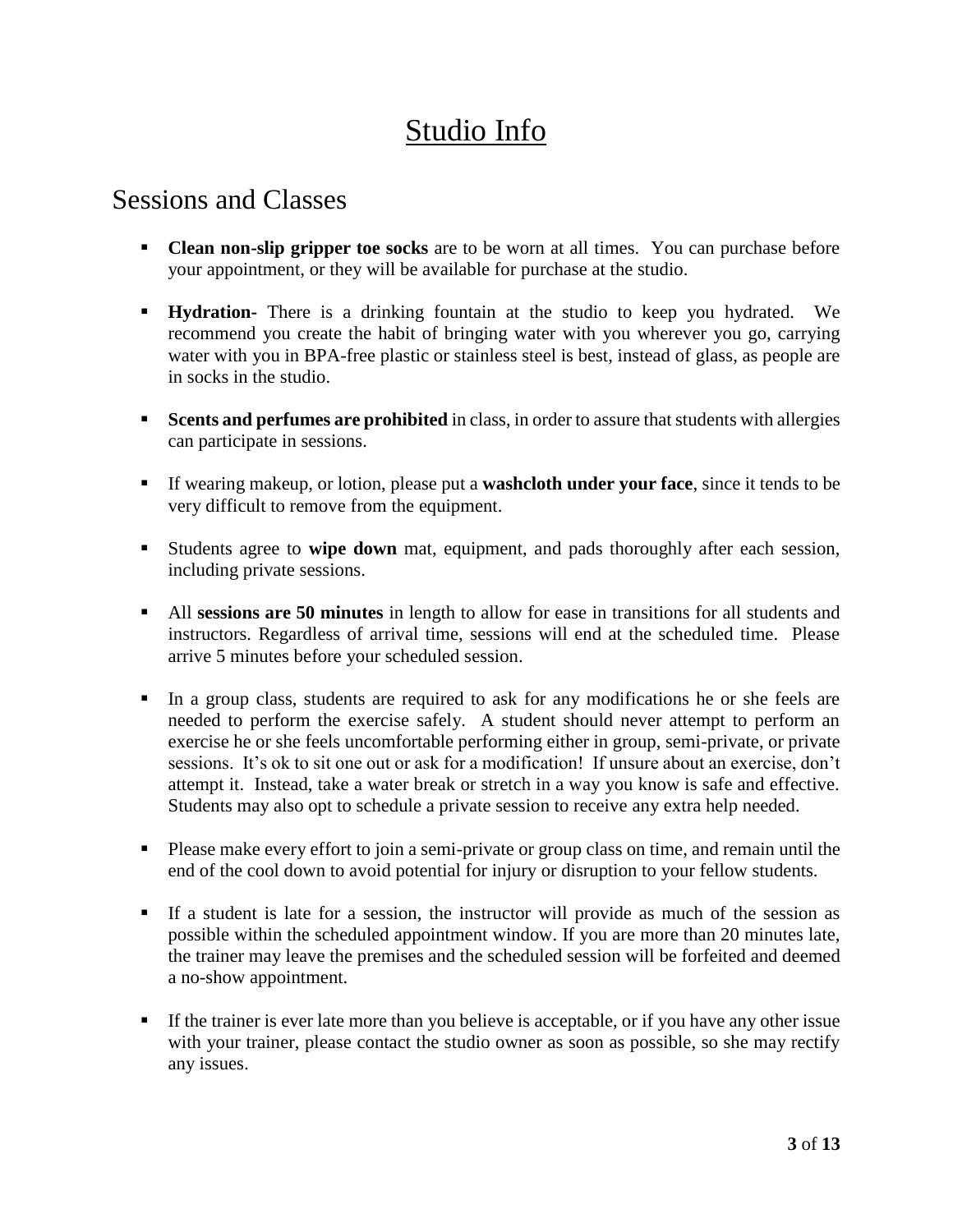# Studio Info

### Sessions and Classes

- **Clean non-slip gripper toe socks** are to be worn at all times. You can purchase before your appointment, or they will be available for purchase at the studio.
- **Hydration-** There is a drinking fountain at the studio to keep you hydrated. We recommend you create the habit of bringing water with you wherever you go, carrying water with you in BPA-free plastic or stainless steel is best, instead of glass, as people are in socks in the studio.
- **Scents and perfumes are prohibited** in class, in order to assure that students with allergies can participate in sessions.
- If wearing makeup, or lotion, please put a **washcloth under your face**, since it tends to be very difficult to remove from the equipment.
- Students agree to **wipe down** mat, equipment, and pads thoroughly after each session, including private sessions.
- All **sessions are 50 minutes** in length to allow for ease in transitions for all students and instructors. Regardless of arrival time, sessions will end at the scheduled time. Please arrive 5 minutes before your scheduled session.
- In a group class, students are required to ask for any modifications he or she feels are needed to perform the exercise safely. A student should never attempt to perform an exercise he or she feels uncomfortable performing either in group, semi-private, or private sessions. It's ok to sit one out or ask for a modification! If unsure about an exercise, don't attempt it. Instead, take a water break or stretch in a way you know is safe and effective. Students may also opt to schedule a private session to receive any extra help needed.
- Please make every effort to join a semi-private or group class on time, and remain until the end of the cool down to avoid potential for injury or disruption to your fellow students.
- If a student is late for a session, the instructor will provide as much of the session as possible within the scheduled appointment window. If you are more than 20 minutes late, the trainer may leave the premises and the scheduled session will be forfeited and deemed a no-show appointment.
- If the trainer is ever late more than you believe is acceptable, or if you have any other issue with your trainer, please contact the studio owner as soon as possible, so she may rectify any issues.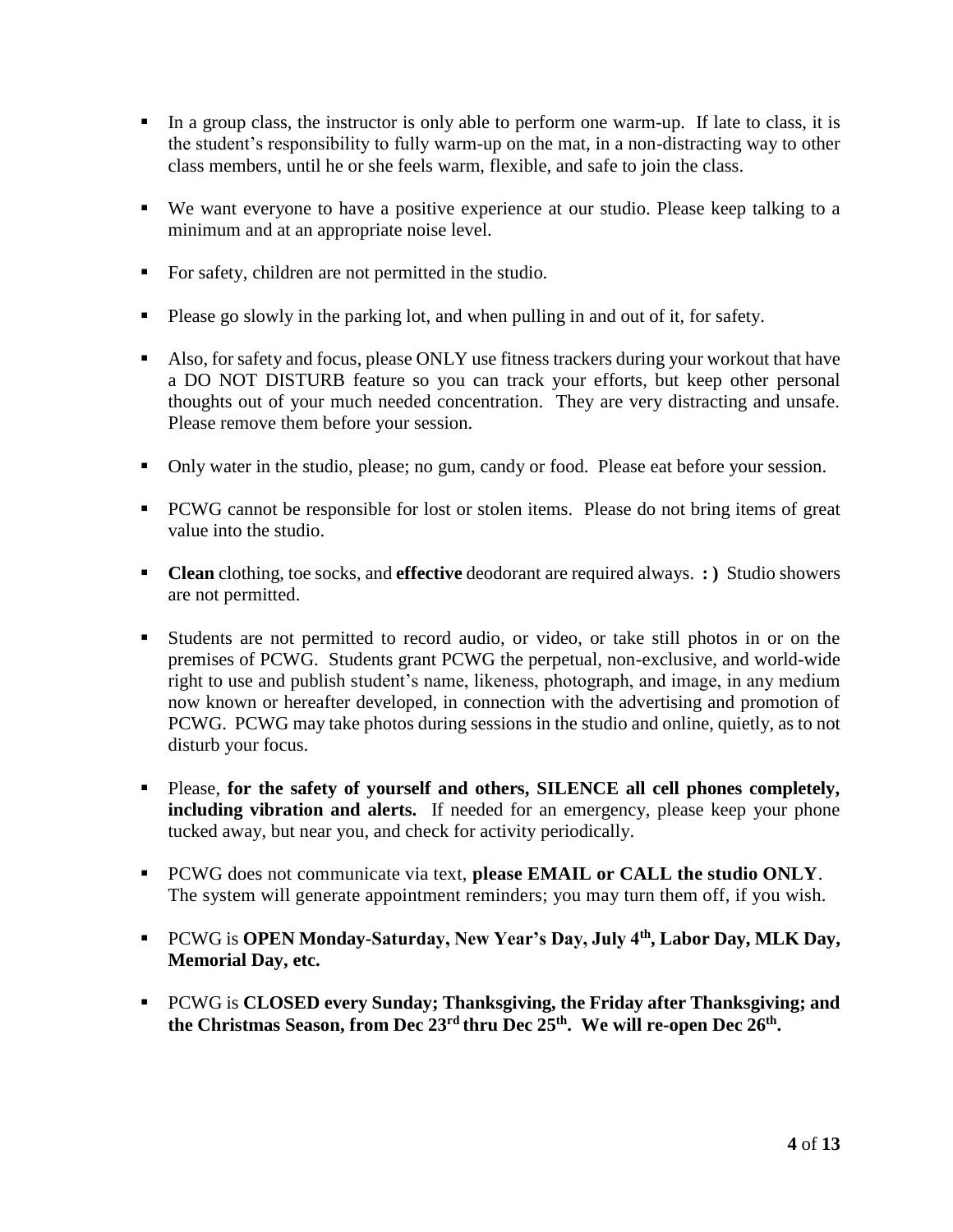- In a group class, the instructor is only able to perform one warm-up. If late to class, it is the student's responsibility to fully warm-up on the mat, in a non-distracting way to other class members, until he or she feels warm, flexible, and safe to join the class.
- We want everyone to have a positive experience at our studio. Please keep talking to a minimum and at an appropriate noise level.
- For safety, children are not permitted in the studio.
- Please go slowly in the parking lot, and when pulling in and out of it, for safety.
- Also, for safety and focus, please ONLY use fitness trackers during your workout that have a DO NOT DISTURB feature so you can track your efforts, but keep other personal thoughts out of your much needed concentration. They are very distracting and unsafe. Please remove them before your session.
- Only water in the studio, please; no gum, candy or food. Please eat before your session.
- **PCWG** cannot be responsible for lost or stolen items. Please do not bring items of great value into the studio.
- **Clean** clothing, toe socks, and **effective** deodorant are required always. **: )** Studio showers are not permitted.
- Students are not permitted to record audio, or video, or take still photos in or on the premises of PCWG. Students grant PCWG the perpetual, non-exclusive, and world-wide right to use and publish student's name, likeness, photograph, and image, in any medium now known or hereafter developed, in connection with the advertising and promotion of PCWG. PCWG may take photos during sessions in the studio and online, quietly, as to not disturb your focus.
- Please, **for the safety of yourself and others, SILENCE all cell phones completely, including vibration and alerts.** If needed for an emergency, please keep your phone tucked away, but near you, and check for activity periodically.
- PCWG does not communicate via text, **please EMAIL or CALL the studio ONLY**. The system will generate appointment reminders; you may turn them off, if you wish.
- PCWG is **OPEN Monday-Saturday, New Year's Day, July 4th, Labor Day, MLK Day, Memorial Day, etc.**
- PCWG is **CLOSED every Sunday; Thanksgiving, the Friday after Thanksgiving; and the Christmas Season, from Dec 23rd thru Dec 25th. We will re-open Dec 26th .**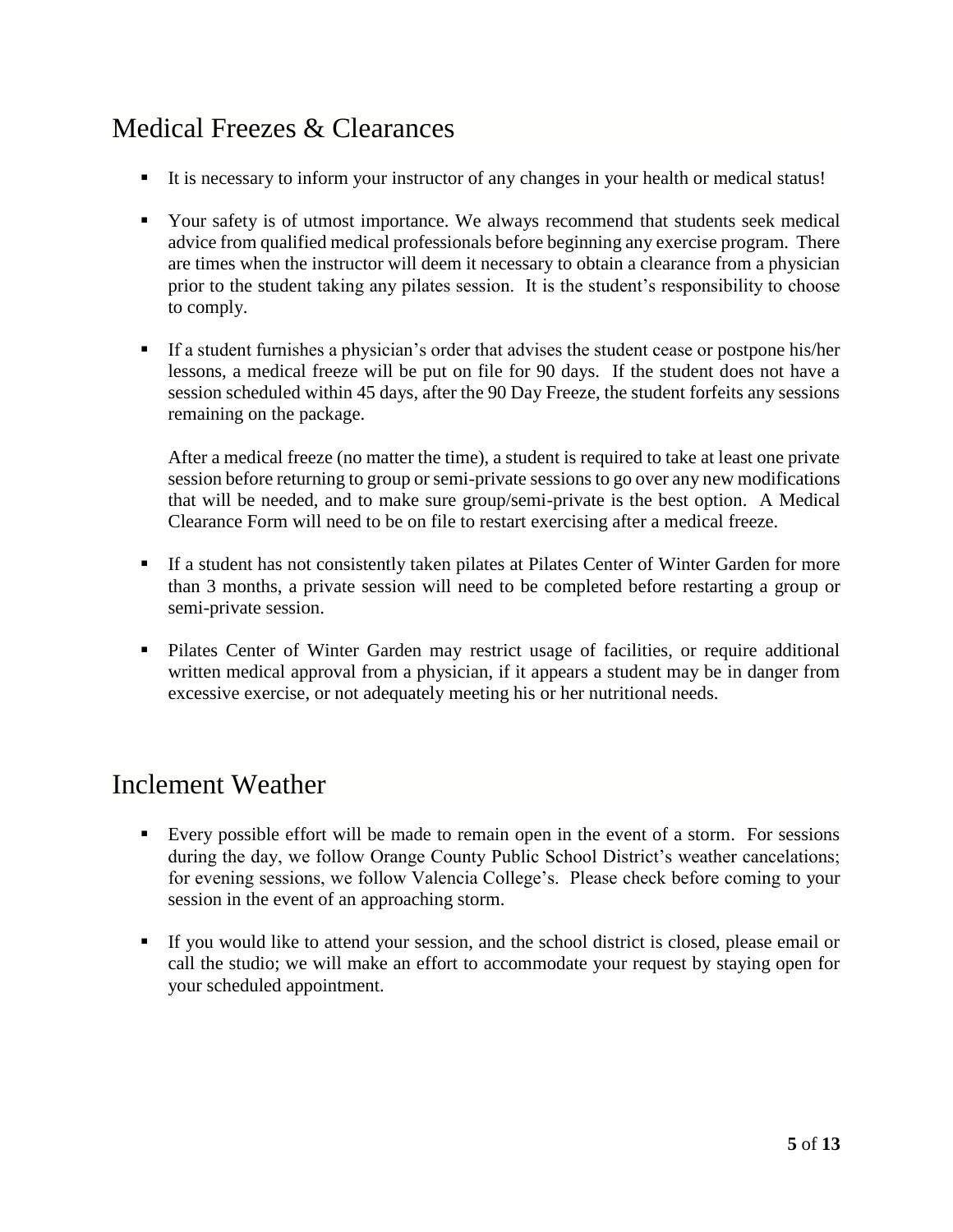## Medical Freezes & Clearances

- It is necessary to inform your instructor of any changes in your health or medical status!
- Your safety is of utmost importance. We always recommend that students seek medical advice from qualified medical professionals before beginning any exercise program. There are times when the instructor will deem it necessary to obtain a clearance from a physician prior to the student taking any pilates session. It is the student's responsibility to choose to comply.
- If a student furnishes a physician's order that advises the student cease or postpone his/her lessons, a medical freeze will be put on file for 90 days. If the student does not have a session scheduled within 45 days, after the 90 Day Freeze, the student forfeits any sessions remaining on the package.

After a medical freeze (no matter the time), a student is required to take at least one private session before returning to group or semi-private sessions to go over any new modifications that will be needed, and to make sure group/semi-private is the best option. A Medical Clearance Form will need to be on file to restart exercising after a medical freeze.

- If a student has not consistently taken pilates at Pilates Center of Winter Garden for more than 3 months, a private session will need to be completed before restarting a group or semi-private session.
- Pilates Center of Winter Garden may restrict usage of facilities, or require additional written medical approval from a physician, if it appears a student may be in danger from excessive exercise, or not adequately meeting his or her nutritional needs.

### Inclement Weather

- Every possible effort will be made to remain open in the event of a storm. For sessions during the day, we follow Orange County Public School District's weather cancelations; for evening sessions, we follow Valencia College's. Please check before coming to your session in the event of an approaching storm.
- If you would like to attend your session, and the school district is closed, please email or call the studio; we will make an effort to accommodate your request by staying open for your scheduled appointment.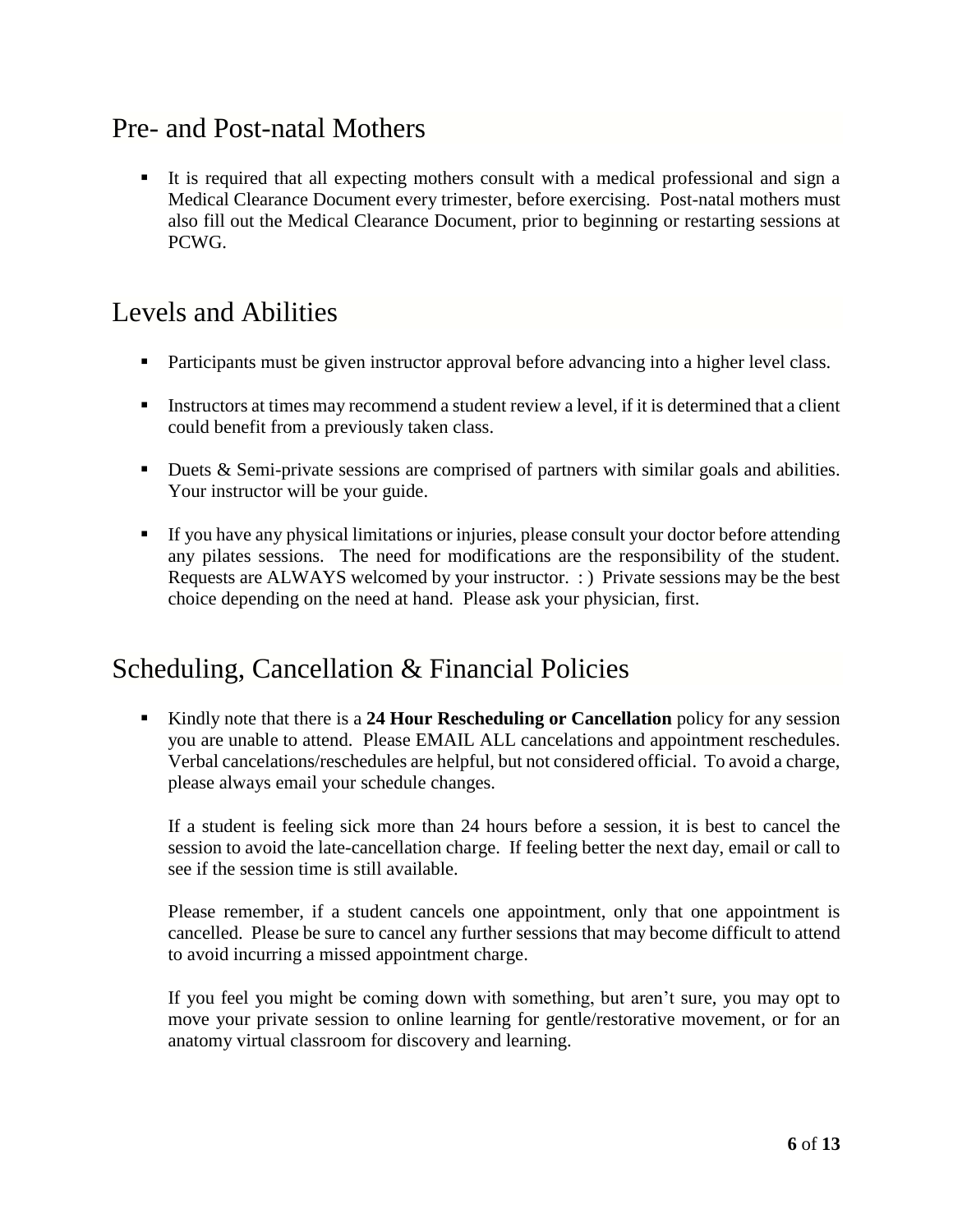### Pre- and Post-natal Mothers

 It is required that all expecting mothers consult with a medical professional and sign a Medical Clearance Document every trimester, before exercising. Post-natal mothers must also fill out the Medical Clearance Document, prior to beginning or restarting sessions at PCWG.

### Levels and Abilities

- Participants must be given instructor approval before advancing into a higher level class.
- Instructors at times may recommend a student review a level, if it is determined that a client could benefit from a previously taken class.
- Duets & Semi-private sessions are comprised of partners with similar goals and abilities. Your instructor will be your guide.
- If you have any physical limitations or injuries, please consult your doctor before attending any pilates sessions. The need for modifications are the responsibility of the student. Requests are ALWAYS welcomed by your instructor. : ) Private sessions may be the best choice depending on the need at hand. Please ask your physician, first.

#### Scheduling, Cancellation & Financial Policies

 Kindly note that there is a **24 Hour Rescheduling or Cancellation** policy for any session you are unable to attend. Please EMAIL ALL cancelations and appointment reschedules. Verbal cancelations/reschedules are helpful, but not considered official. To avoid a charge, please always email your schedule changes.

If a student is feeling sick more than 24 hours before a session, it is best to cancel the session to avoid the late-cancellation charge. If feeling better the next day, email or call to see if the session time is still available.

Please remember, if a student cancels one appointment, only that one appointment is cancelled. Please be sure to cancel any further sessions that may become difficult to attend to avoid incurring a missed appointment charge.

If you feel you might be coming down with something, but aren't sure, you may opt to move your private session to online learning for gentle/restorative movement, or for an anatomy virtual classroom for discovery and learning.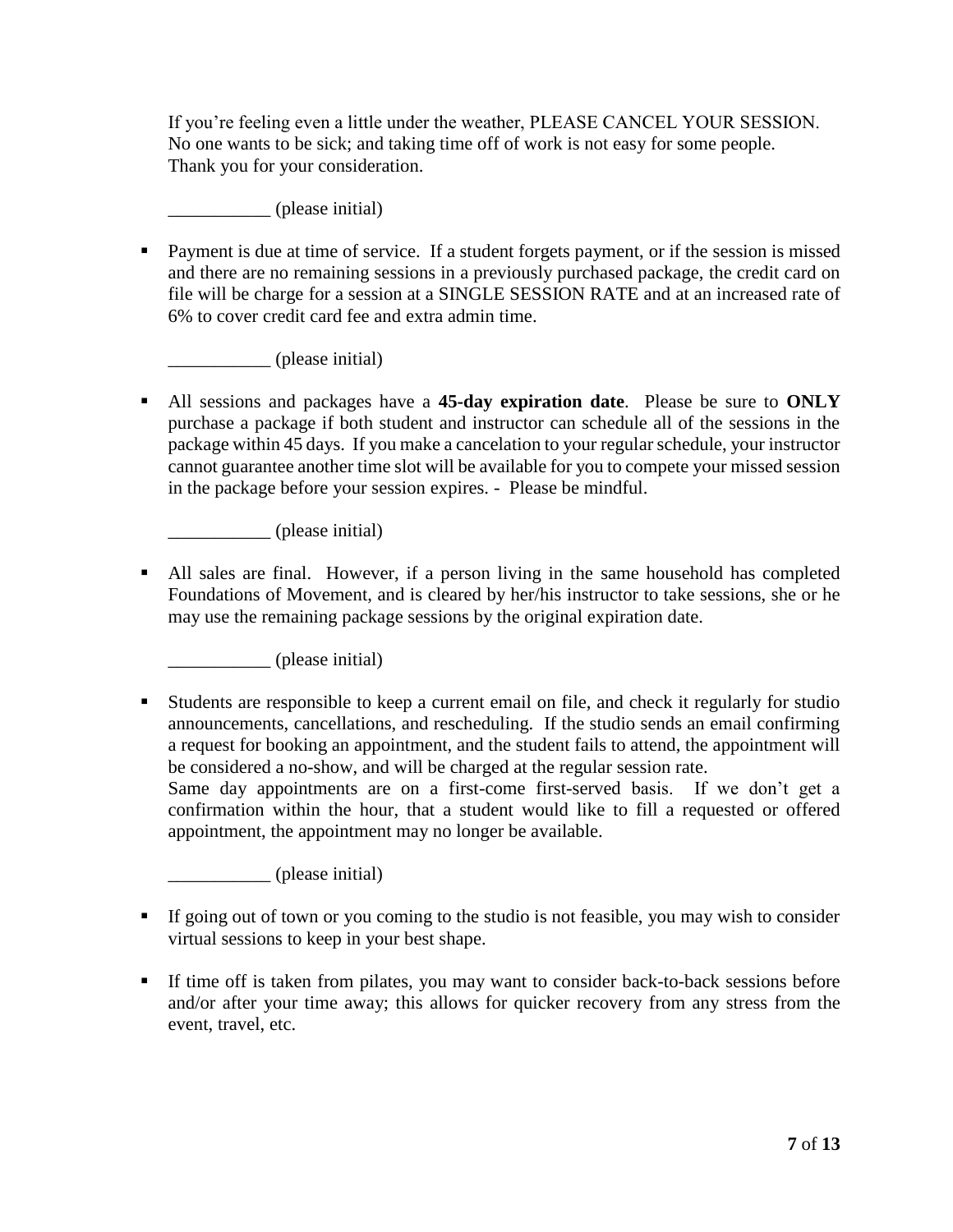If you're feeling even a little under the weather, PLEASE CANCEL YOUR SESSION. No one wants to be sick; and taking time off of work is not easy for some people. Thank you for your consideration.

\_\_\_\_\_\_\_\_\_\_\_ (please initial)

 Payment is due at time of service. If a student forgets payment, or if the session is missed and there are no remaining sessions in a previously purchased package, the credit card on file will be charge for a session at a SINGLE SESSION RATE and at an increased rate of 6% to cover credit card fee and extra admin time.

\_\_\_\_\_\_\_\_\_\_\_ (please initial)

 All sessions and packages have a **45-day expiration date**. Please be sure to **ONLY**  purchase a package if both student and instructor can schedule all of the sessions in the package within 45 days. If you make a cancelation to your regular schedule, your instructor cannot guarantee another time slot will be available for you to compete your missed session in the package before your session expires. - Please be mindful.

\_\_\_\_\_\_\_\_\_\_\_ (please initial)

 All sales are final. However, if a person living in the same household has completed Foundations of Movement, and is cleared by her/his instructor to take sessions, she or he may use the remaining package sessions by the original expiration date.

\_\_\_\_\_\_\_\_\_\_\_ (please initial)

 Students are responsible to keep a current email on file, and check it regularly for studio announcements, cancellations, and rescheduling. If the studio sends an email confirming a request for booking an appointment, and the student fails to attend, the appointment will be considered a no-show, and will be charged at the regular session rate. Same day appointments are on a first-come first-served basis. If we don't get a confirmation within the hour, that a student would like to fill a requested or offered appointment, the appointment may no longer be available.

\_\_\_\_\_\_\_\_\_\_\_ (please initial)

- If going out of town or you coming to the studio is not feasible, you may wish to consider virtual sessions to keep in your best shape.
- If time off is taken from pilates, you may want to consider back-to-back sessions before and/or after your time away; this allows for quicker recovery from any stress from the event, travel, etc.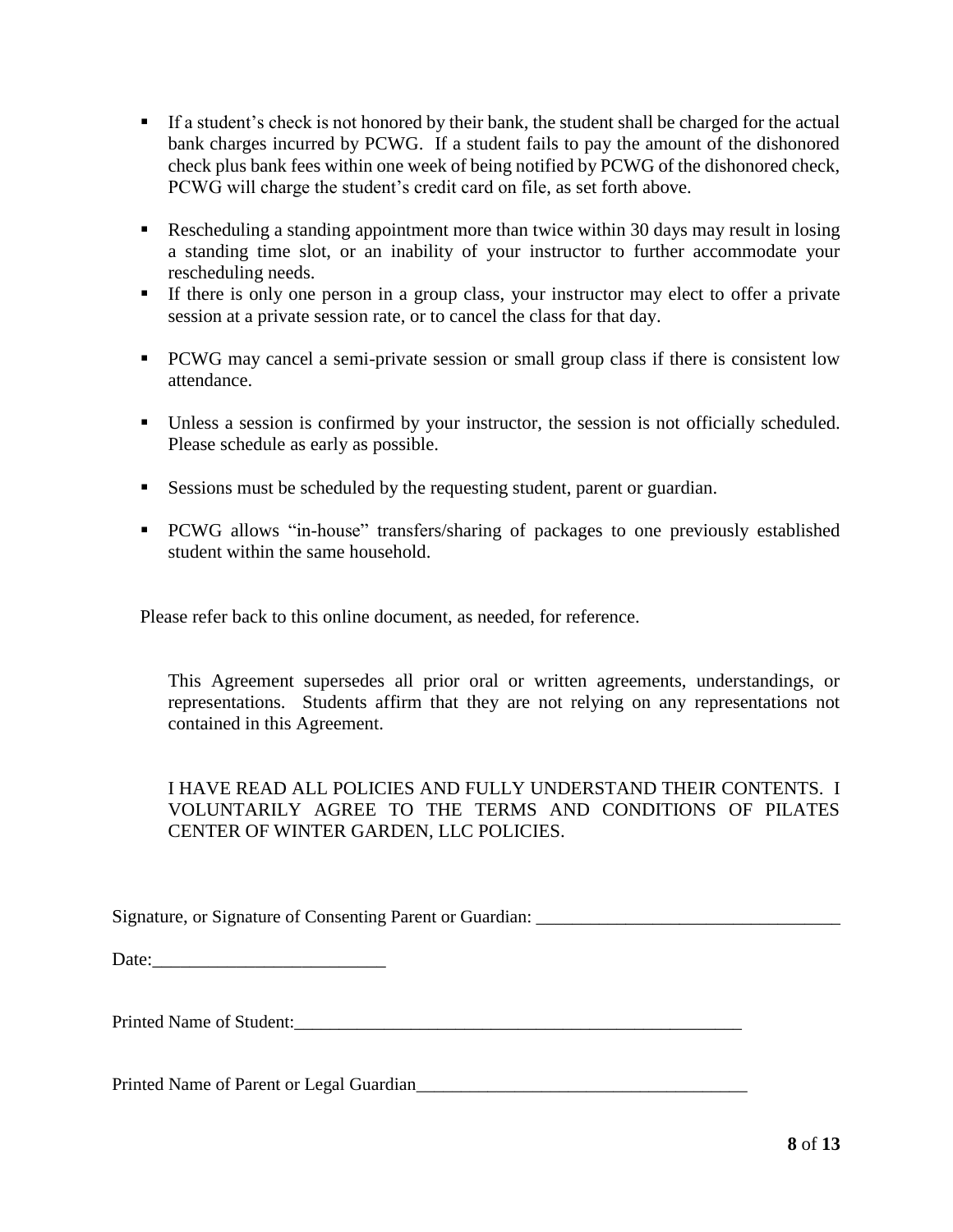- If a student's check is not honored by their bank, the student shall be charged for the actual bank charges incurred by PCWG. If a student fails to pay the amount of the dishonored check plus bank fees within one week of being notified by PCWG of the dishonored check, PCWG will charge the student's credit card on file, as set forth above.
- Rescheduling a standing appointment more than twice within 30 days may result in losing a standing time slot, or an inability of your instructor to further accommodate your rescheduling needs.
- If there is only one person in a group class, your instructor may elect to offer a private session at a private session rate, or to cancel the class for that day.
- **PCWG** may cancel a semi-private session or small group class if there is consistent low attendance.
- Unless a session is confirmed by your instructor, the session is not officially scheduled. Please schedule as early as possible.
- Sessions must be scheduled by the requesting student, parent or guardian.
- **PCWG** allows "in-house" transfers/sharing of packages to one previously established student within the same household.

Please refer back to this online document, as needed, for reference.

This Agreement supersedes all prior oral or written agreements, understandings, or representations. Students affirm that they are not relying on any representations not contained in this Agreement.

I HAVE READ ALL POLICIES AND FULLY UNDERSTAND THEIR CONTENTS. I VOLUNTARILY AGREE TO THE TERMS AND CONDITIONS OF PILATES CENTER OF WINTER GARDEN, LLC POLICIES.

Signature, or Signature of Consenting Parent or Guardian:

Date:

Printed Name of Student:\_\_\_\_\_\_\_\_\_\_\_\_\_\_\_\_\_\_\_\_\_\_\_\_\_\_\_\_\_\_\_\_\_\_\_\_\_\_\_\_\_\_\_\_\_\_\_\_\_\_

Printed Name of Parent or Legal Guardian\_\_\_\_\_\_\_\_\_\_\_\_\_\_\_\_\_\_\_\_\_\_\_\_\_\_\_\_\_\_\_\_\_\_\_\_\_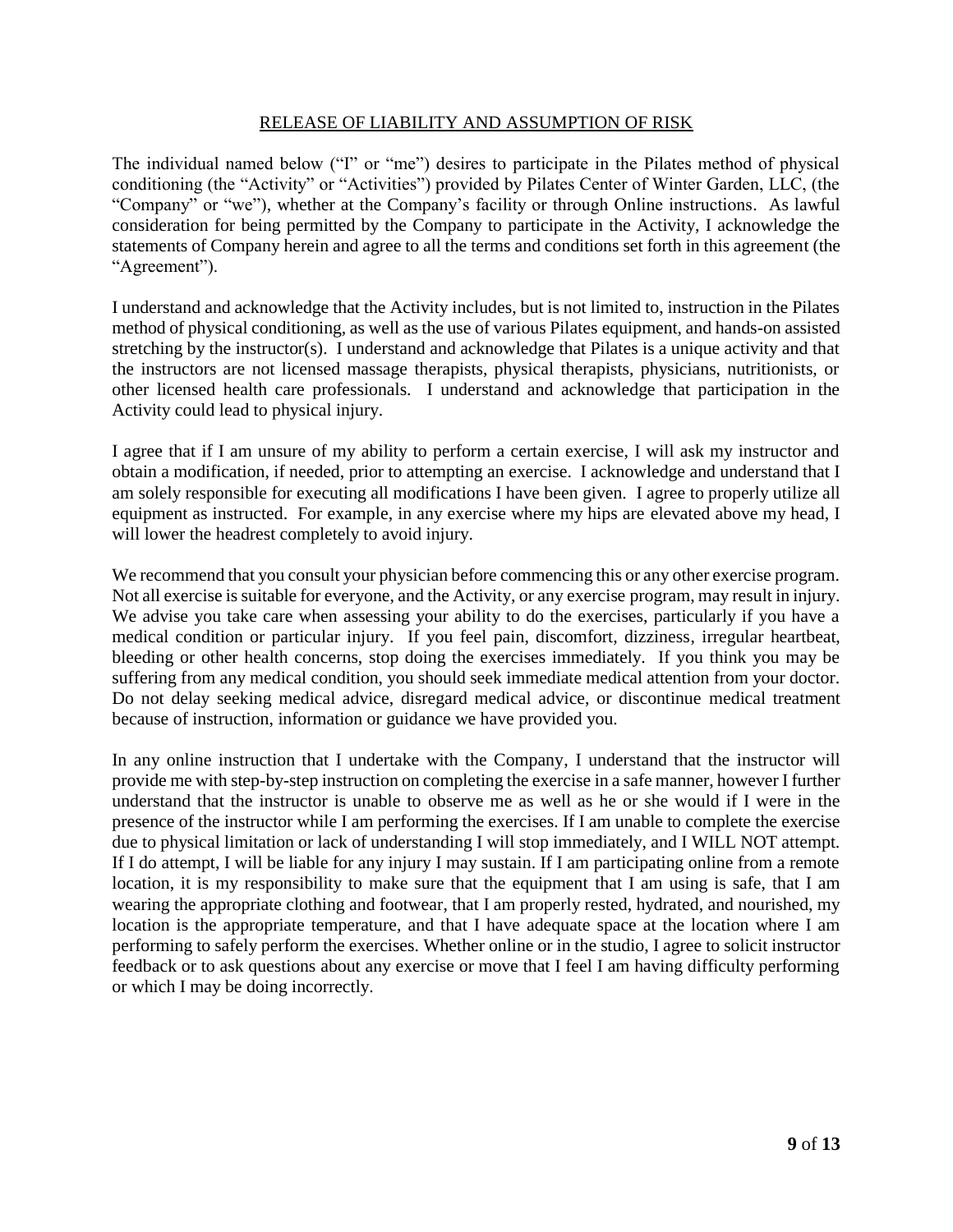#### RELEASE OF LIABILITY AND ASSUMPTION OF RISK

The individual named below ("I" or "me") desires to participate in the Pilates method of physical conditioning (the "Activity" or "Activities") provided by Pilates Center of Winter Garden, LLC, (the "Company" or "we"), whether at the Company's facility or through Online instructions. As lawful consideration for being permitted by the Company to participate in the Activity, I acknowledge the statements of Company herein and agree to all the terms and conditions set forth in this agreement (the "Agreement").

I understand and acknowledge that the Activity includes, but is not limited to, instruction in the Pilates method of physical conditioning, as well as the use of various Pilates equipment, and hands-on assisted stretching by the instructor(s). I understand and acknowledge that Pilates is a unique activity and that the instructors are not licensed massage therapists, physical therapists, physicians, nutritionists, or other licensed health care professionals. I understand and acknowledge that participation in the Activity could lead to physical injury.

I agree that if I am unsure of my ability to perform a certain exercise, I will ask my instructor and obtain a modification, if needed, prior to attempting an exercise. I acknowledge and understand that I am solely responsible for executing all modifications I have been given. I agree to properly utilize all equipment as instructed. For example, in any exercise where my hips are elevated above my head, I will lower the headrest completely to avoid injury.

We recommend that you consult your physician before commencing this or any other exercise program. Not all exercise is suitable for everyone, and the Activity, or any exercise program, may result in injury. We advise you take care when assessing your ability to do the exercises, particularly if you have a medical condition or particular injury. If you feel pain, discomfort, dizziness, irregular heartbeat, bleeding or other health concerns, stop doing the exercises immediately. If you think you may be suffering from any medical condition, you should seek immediate medical attention from your doctor. Do not delay seeking medical advice, disregard medical advice, or discontinue medical treatment because of instruction, information or guidance we have provided you.

In any online instruction that I undertake with the Company, I understand that the instructor will provide me with step-by-step instruction on completing the exercise in a safe manner, however I further understand that the instructor is unable to observe me as well as he or she would if I were in the presence of the instructor while I am performing the exercises. If I am unable to complete the exercise due to physical limitation or lack of understanding I will stop immediately, and I WILL NOT attempt. If I do attempt, I will be liable for any injury I may sustain. If I am participating online from a remote location, it is my responsibility to make sure that the equipment that I am using is safe, that I am wearing the appropriate clothing and footwear, that I am properly rested, hydrated, and nourished, my location is the appropriate temperature, and that I have adequate space at the location where I am performing to safely perform the exercises. Whether online or in the studio, I agree to solicit instructor feedback or to ask questions about any exercise or move that I feel I am having difficulty performing or which I may be doing incorrectly.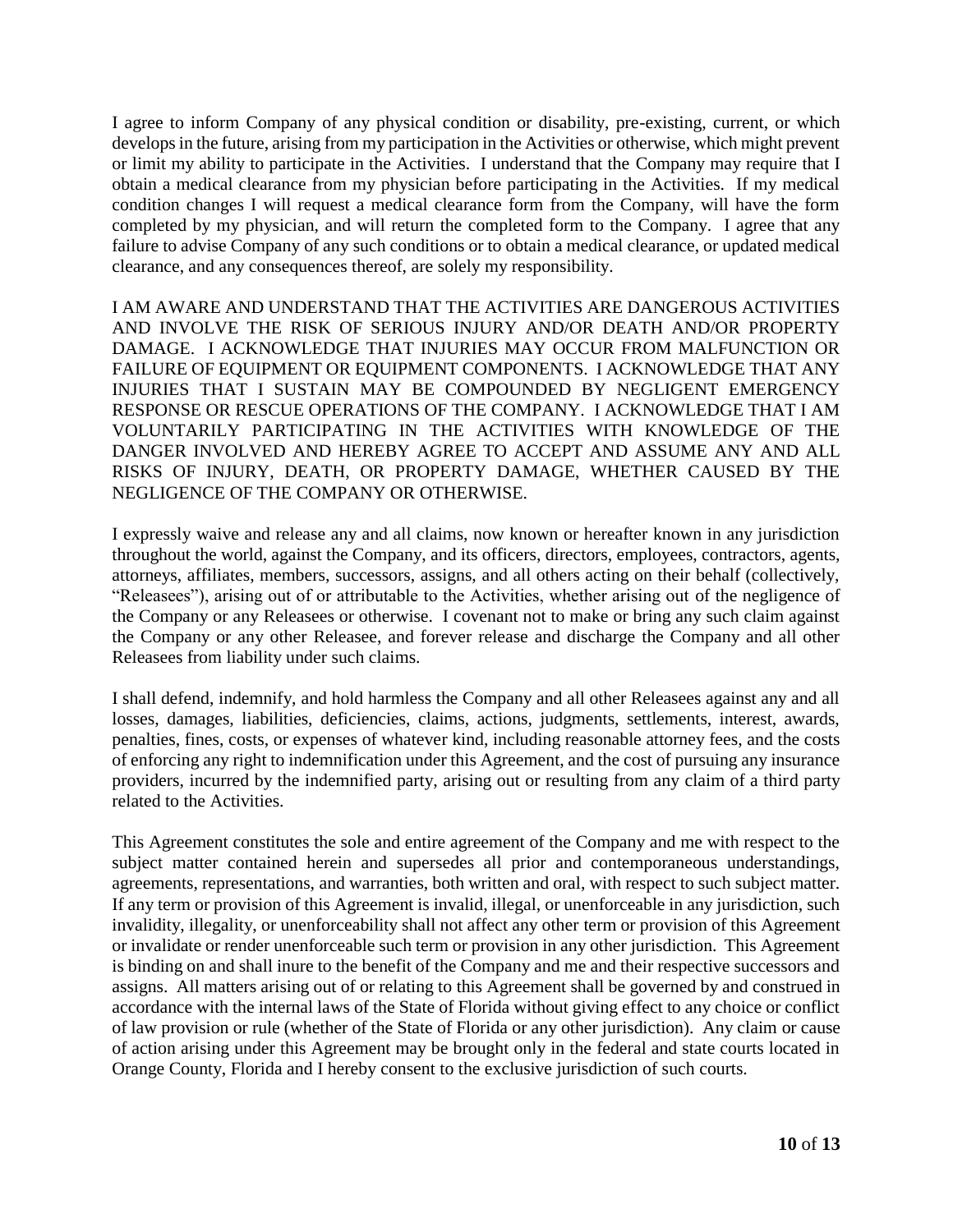I agree to inform Company of any physical condition or disability, pre-existing, current, or which develops in the future, arising from my participation in the Activities or otherwise, which might prevent or limit my ability to participate in the Activities. I understand that the Company may require that I obtain a medical clearance from my physician before participating in the Activities. If my medical condition changes I will request a medical clearance form from the Company, will have the form completed by my physician, and will return the completed form to the Company. I agree that any failure to advise Company of any such conditions or to obtain a medical clearance, or updated medical clearance, and any consequences thereof, are solely my responsibility.

I AM AWARE AND UNDERSTAND THAT THE ACTIVITIES ARE DANGEROUS ACTIVITIES AND INVOLVE THE RISK OF SERIOUS INJURY AND/OR DEATH AND/OR PROPERTY DAMAGE. I ACKNOWLEDGE THAT INJURIES MAY OCCUR FROM MALFUNCTION OR FAILURE OF EQUIPMENT OR EQUIPMENT COMPONENTS. I ACKNOWLEDGE THAT ANY INJURIES THAT I SUSTAIN MAY BE COMPOUNDED BY NEGLIGENT EMERGENCY RESPONSE OR RESCUE OPERATIONS OF THE COMPANY. I ACKNOWLEDGE THAT I AM VOLUNTARILY PARTICIPATING IN THE ACTIVITIES WITH KNOWLEDGE OF THE DANGER INVOLVED AND HEREBY AGREE TO ACCEPT AND ASSUME ANY AND ALL RISKS OF INJURY, DEATH, OR PROPERTY DAMAGE, WHETHER CAUSED BY THE NEGLIGENCE OF THE COMPANY OR OTHERWISE.

I expressly waive and release any and all claims, now known or hereafter known in any jurisdiction throughout the world, against the Company, and its officers, directors, employees, contractors, agents, attorneys, affiliates, members, successors, assigns, and all others acting on their behalf (collectively, "Releasees"), arising out of or attributable to the Activities, whether arising out of the negligence of the Company or any Releasees or otherwise. I covenant not to make or bring any such claim against the Company or any other Releasee, and forever release and discharge the Company and all other Releasees from liability under such claims.

I shall defend, indemnify, and hold harmless the Company and all other Releasees against any and all losses, damages, liabilities, deficiencies, claims, actions, judgments, settlements, interest, awards, penalties, fines, costs, or expenses of whatever kind, including reasonable attorney fees, and the costs of enforcing any right to indemnification under this Agreement, and the cost of pursuing any insurance providers, incurred by the indemnified party, arising out or resulting from any claim of a third party related to the Activities.

This Agreement constitutes the sole and entire agreement of the Company and me with respect to the subject matter contained herein and supersedes all prior and contemporaneous understandings, agreements, representations, and warranties, both written and oral, with respect to such subject matter. If any term or provision of this Agreement is invalid, illegal, or unenforceable in any jurisdiction, such invalidity, illegality, or unenforceability shall not affect any other term or provision of this Agreement or invalidate or render unenforceable such term or provision in any other jurisdiction. This Agreement is binding on and shall inure to the benefit of the Company and me and their respective successors and assigns. All matters arising out of or relating to this Agreement shall be governed by and construed in accordance with the internal laws of the State of Florida without giving effect to any choice or conflict of law provision or rule (whether of the State of Florida or any other jurisdiction). Any claim or cause of action arising under this Agreement may be brought only in the federal and state courts located in Orange County, Florida and I hereby consent to the exclusive jurisdiction of such courts.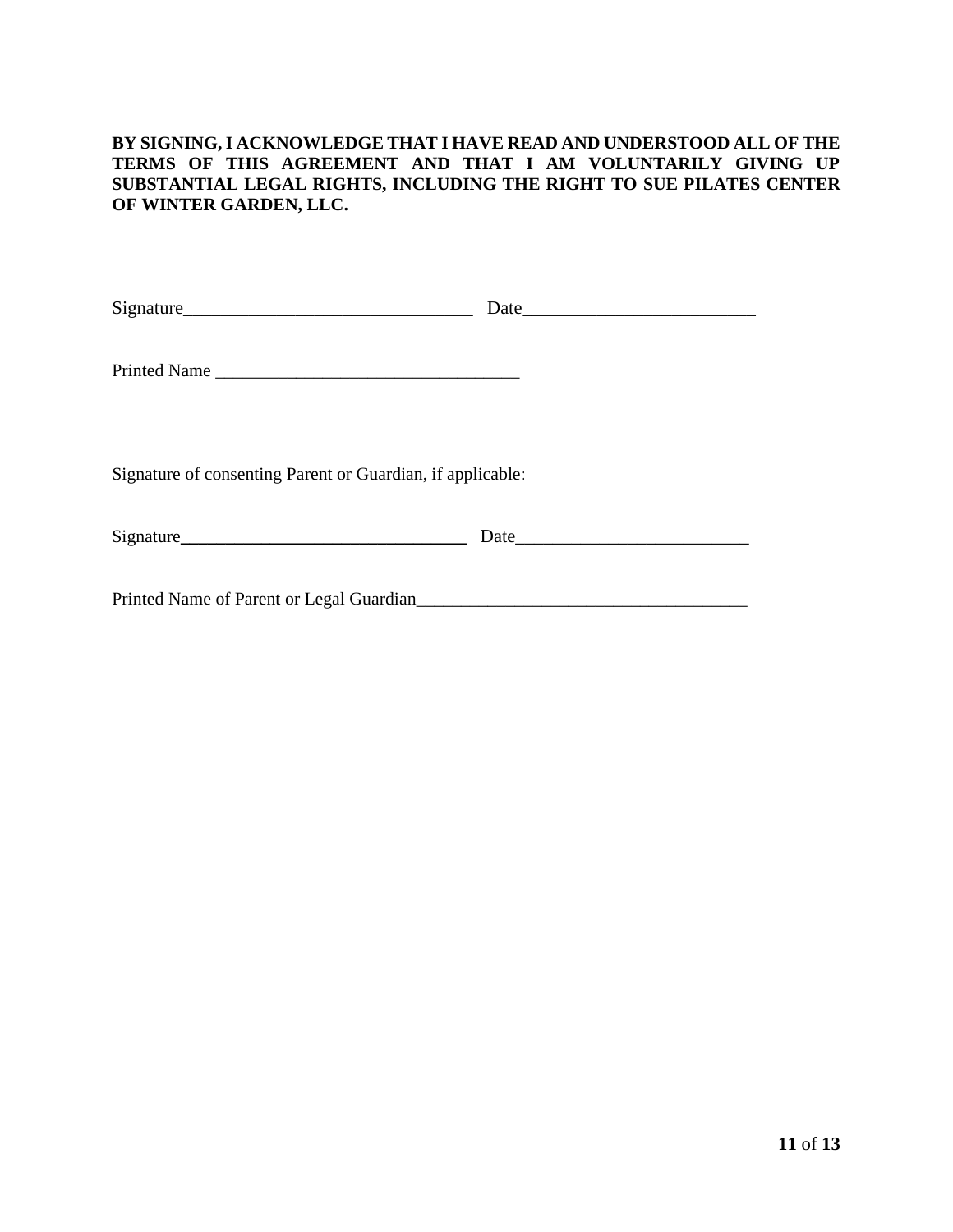#### **BY SIGNING, I ACKNOWLEDGE THAT I HAVE READ AND UNDERSTOOD ALL OF THE TERMS OF THIS AGREEMENT AND THAT I AM VOLUNTARILY GIVING UP SUBSTANTIAL LEGAL RIGHTS, INCLUDING THE RIGHT TO SUE PILATES CENTER OF WINTER GARDEN, LLC.**

| Printed Name                                               |  |
|------------------------------------------------------------|--|
| Signature of consenting Parent or Guardian, if applicable: |  |
|                                                            |  |
|                                                            |  |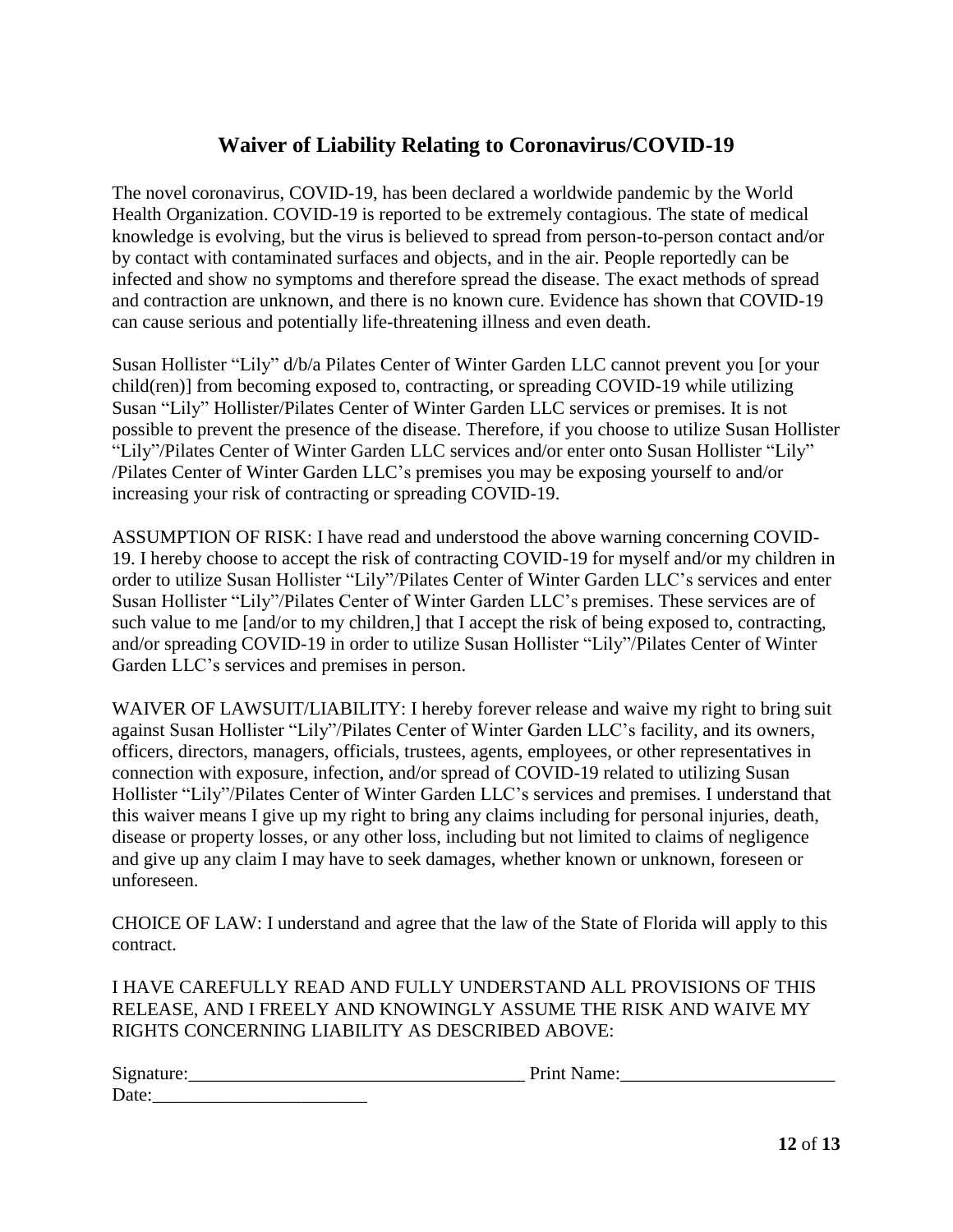#### **Waiver of Liability Relating to Coronavirus/COVID-19**

The novel coronavirus, COVID-19, has been declared a worldwide pandemic by the World Health Organization. COVID-19 is reported to be extremely contagious. The state of medical knowledge is evolving, but the virus is believed to spread from person-to-person contact and/or by contact with contaminated surfaces and objects, and in the air. People reportedly can be infected and show no symptoms and therefore spread the disease. The exact methods of spread and contraction are unknown, and there is no known cure. Evidence has shown that COVID-19 can cause serious and potentially life-threatening illness and even death.

Susan Hollister "Lily" d/b/a Pilates Center of Winter Garden LLC cannot prevent you [or your child(ren)] from becoming exposed to, contracting, or spreading COVID-19 while utilizing Susan "Lily" Hollister/Pilates Center of Winter Garden LLC services or premises. It is not possible to prevent the presence of the disease. Therefore, if you choose to utilize Susan Hollister "Lily"/Pilates Center of Winter Garden LLC services and/or enter onto Susan Hollister "Lily" /Pilates Center of Winter Garden LLC's premises you may be exposing yourself to and/or increasing your risk of contracting or spreading COVID-19.

ASSUMPTION OF RISK: I have read and understood the above warning concerning COVID-19. I hereby choose to accept the risk of contracting COVID-19 for myself and/or my children in order to utilize Susan Hollister "Lily"/Pilates Center of Winter Garden LLC's services and enter Susan Hollister "Lily"/Pilates Center of Winter Garden LLC's premises. These services are of such value to me [and/or to my children,] that I accept the risk of being exposed to, contracting, and/or spreading COVID-19 in order to utilize Susan Hollister "Lily"/Pilates Center of Winter Garden LLC's services and premises in person.

WAIVER OF LAWSUIT/LIABILITY: I hereby forever release and waive my right to bring suit against Susan Hollister "Lily"/Pilates Center of Winter Garden LLC's facility, and its owners, officers, directors, managers, officials, trustees, agents, employees, or other representatives in connection with exposure, infection, and/or spread of COVID-19 related to utilizing Susan Hollister "Lily"/Pilates Center of Winter Garden LLC's services and premises. I understand that this waiver means I give up my right to bring any claims including for personal injuries, death, disease or property losses, or any other loss, including but not limited to claims of negligence and give up any claim I may have to seek damages, whether known or unknown, foreseen or unforeseen.

CHOICE OF LAW: I understand and agree that the law of the State of Florida will apply to this contract.

I HAVE CAREFULLY READ AND FULLY UNDERSTAND ALL PROVISIONS OF THIS RELEASE, AND I FREELY AND KNOWINGLY ASSUME THE RISK AND WAIVE MY RIGHTS CONCERNING LIABILITY AS DESCRIBED ABOVE:

| $\sim$<br>Signature<br>________ | . |
|---------------------------------|---|
| $\blacksquare$<br>Date:         |   |